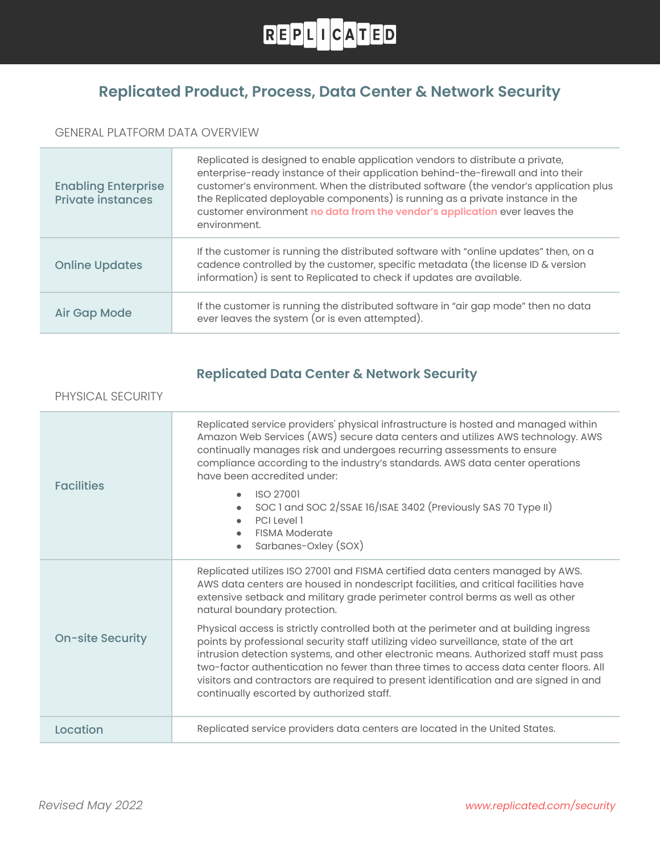

## **Replicated Product, Process, Data Center & Network Security**

### GENERAL PLATFORM DATA OVERVIEW

| <b>Enabling Enterprise</b><br><b>Private instances</b> | Replicated is designed to enable application vendors to distribute a private,<br>enterprise-ready instance of their application behind-the-firewall and into their<br>customer's environment. When the distributed software (the vendor's application plus<br>the Replicated deployable components) is running as a private instance in the<br>customer environment no data from the vendor's application ever leaves the<br>environment. |
|--------------------------------------------------------|-------------------------------------------------------------------------------------------------------------------------------------------------------------------------------------------------------------------------------------------------------------------------------------------------------------------------------------------------------------------------------------------------------------------------------------------|
| <b>Online Updates</b>                                  | If the customer is running the distributed software with "online updates" then, on a<br>cadence controlled by the customer, specific metadata (the license ID & version<br>information) is sent to Replicated to check if updates are available.                                                                                                                                                                                          |
| Air Gap Mode                                           | If the customer is running the distributed software in "air gap mode" then no data<br>ever leaves the system (or is even attempted).                                                                                                                                                                                                                                                                                                      |

### **Replicated Data Center & Network Security**

#### PHYSICAL SECURITY

| <b>Facilities</b>       | Replicated service providers' physical infrastructure is hosted and managed within<br>Amazon Web Services (AWS) secure data centers and utilizes AWS technology. AWS<br>continually manages risk and undergoes recurring assessments to ensure<br>compliance according to the industry's standards. AWS data center operations<br>have been accredited under:                                                                                                                                      |
|-------------------------|----------------------------------------------------------------------------------------------------------------------------------------------------------------------------------------------------------------------------------------------------------------------------------------------------------------------------------------------------------------------------------------------------------------------------------------------------------------------------------------------------|
|                         | <b>ISO 27001</b><br>$\bullet$<br>SOC 1 and SOC 2/SSAE 16/ISAE 3402 (Previously SAS 70 Type II)<br>PCI Level 1<br>$\bullet$<br><b>FISMA Moderate</b><br>Sarbanes-Oxley (SOX)                                                                                                                                                                                                                                                                                                                        |
| <b>On-site Security</b> | Replicated utilizes ISO 27001 and FISMA certified data centers managed by AWS.<br>AWS data centers are housed in nondescript facilities, and critical facilities have<br>extensive setback and military grade perimeter control berms as well as other<br>natural boundary protection.                                                                                                                                                                                                             |
|                         | Physical access is strictly controlled both at the perimeter and at building ingress<br>points by professional security staff utilizing video surveillance, state of the art<br>intrusion detection systems, and other electronic means. Authorized staff must pass<br>two-factor authentication no fewer than three times to access data center floors. All<br>visitors and contractors are required to present identification and are signed in and<br>continually escorted by authorized staff. |
| Location                | Replicated service providers data centers are located in the United States.                                                                                                                                                                                                                                                                                                                                                                                                                        |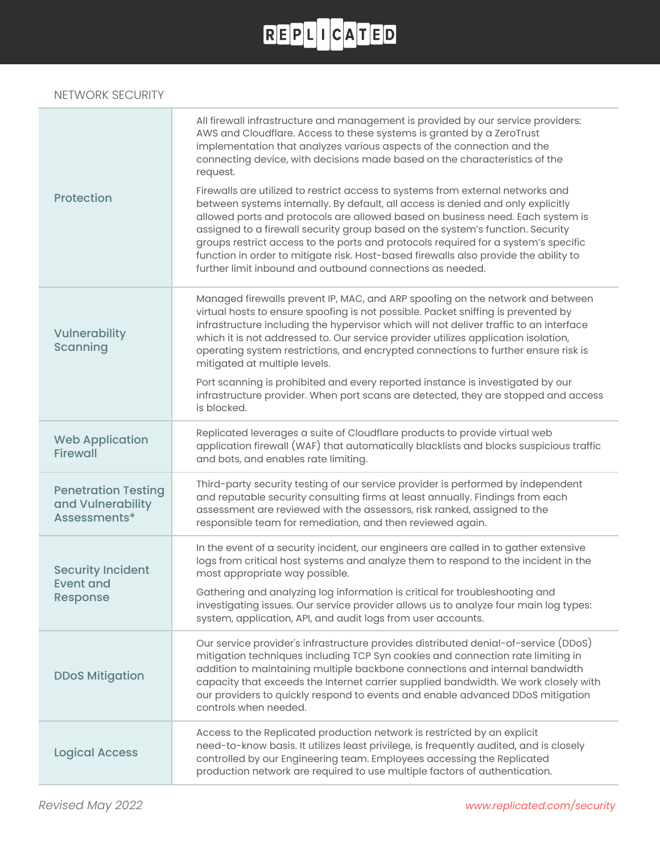### NETWORK SECURITY

| <b>Protection</b>                                               | All firewall infrastructure and management is provided by our service providers:<br>AWS and Cloudflare. Access to these systems is granted by a ZeroTrust<br>implementation that analyzes various aspects of the connection and the<br>connecting device, with decisions made based on the characteristics of the<br>request.<br>Firewalls are utilized to restrict access to systems from external networks and<br>between systems internally. By default, all access is denied and only explicitly<br>allowed ports and protocols are allowed based on business need. Each system is<br>assigned to a firewall security group based on the system's function. Security<br>groups restrict access to the ports and protocols required for a system's specific<br>function in order to mitigate risk. Host-based firewalls also provide the ability to<br>further limit inbound and outbound connections as needed. |
|-----------------------------------------------------------------|---------------------------------------------------------------------------------------------------------------------------------------------------------------------------------------------------------------------------------------------------------------------------------------------------------------------------------------------------------------------------------------------------------------------------------------------------------------------------------------------------------------------------------------------------------------------------------------------------------------------------------------------------------------------------------------------------------------------------------------------------------------------------------------------------------------------------------------------------------------------------------------------------------------------|
| Vulnerability<br>Scanning                                       | Managed firewalls prevent IP, MAC, and ARP spoofing on the network and between<br>virtual hosts to ensure spoofing is not possible. Packet sniffing is prevented by<br>infrastructure including the hypervisor which will not deliver traffic to an interface<br>which it is not addressed to. Our service provider utilizes application isolation,<br>operating system restrictions, and encrypted connections to further ensure risk is<br>mitigated at multiple levels.<br>Port scanning is prohibited and every reported instance is investigated by our                                                                                                                                                                                                                                                                                                                                                        |
|                                                                 | infrastructure provider. When port scans are detected, they are stopped and access<br>is blocked.                                                                                                                                                                                                                                                                                                                                                                                                                                                                                                                                                                                                                                                                                                                                                                                                                   |
| <b>Web Application</b><br><b>Firewall</b>                       | Replicated leverages a suite of Cloudflare products to provide virtual web<br>application firewall (WAF) that automatically blacklists and blocks suspicious traffic<br>and bots, and enables rate limiting.                                                                                                                                                                                                                                                                                                                                                                                                                                                                                                                                                                                                                                                                                                        |
| <b>Penetration Testing</b><br>and Vulnerability<br>Assessments* | Third-party security testing of our service provider is performed by independent<br>and reputable security consulting firms at least annually. Findings from each<br>assessment are reviewed with the assessors, risk ranked, assigned to the<br>responsible team for remediation, and then reviewed again.                                                                                                                                                                                                                                                                                                                                                                                                                                                                                                                                                                                                         |
| <b>Security Incident</b><br><b>Event and</b><br><b>Response</b> | In the event of a security incident, our engineers are called in to gather extensive<br>logs from critical host systems and analyze them to respond to the incident in the<br>most appropriate way possible.                                                                                                                                                                                                                                                                                                                                                                                                                                                                                                                                                                                                                                                                                                        |
|                                                                 | Gathering and analyzing log information is critical for troubleshooting and<br>investigating issues. Our service provider allows us to analyze four main log types:<br>system, application, API, and audit logs from user accounts.                                                                                                                                                                                                                                                                                                                                                                                                                                                                                                                                                                                                                                                                                 |
| <b>DDoS Mitigation</b>                                          | Our service provider's infrastructure provides distributed denial-of-service (DDoS)<br>mitigation techniques including TCP Syn cookies and connection rate limiting in<br>addition to maintaining multiple backbone connections and internal bandwidth<br>capacity that exceeds the Internet carrier supplied bandwidth. We work closely with<br>our providers to quickly respond to events and enable advanced DDoS mitigation<br>controls when needed.                                                                                                                                                                                                                                                                                                                                                                                                                                                            |
| <b>Logical Access</b>                                           | Access to the Replicated production network is restricted by an explicit<br>need-to-know basis. It utilizes least privilege, is frequently audited, and is closely<br>controlled by our Engineering team. Employees accessing the Replicated<br>production network are required to use multiple factors of authentication.                                                                                                                                                                                                                                                                                                                                                                                                                                                                                                                                                                                          |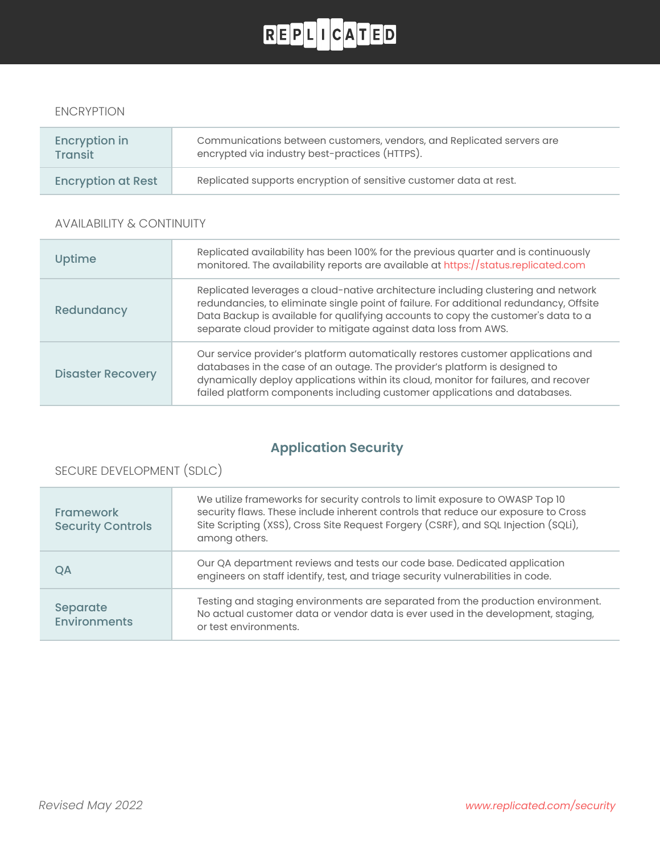#### ENCRYPTION

| Encryption in             | Communications between customers, vendors, and Replicated servers are |
|---------------------------|-----------------------------------------------------------------------|
| <b>Transit</b>            | encrypted via industry best-practices (HTTPS).                        |
| <b>Encryption at Rest</b> | Replicated supports encryption of sensitive customer data at rest.    |

#### AVAILABILITY & CONTINUITY

| Uptime                   | Replicated availability has been 100% for the previous quarter and is continuously<br>monitored. The availability reports are available at https://status.replicated.com                                                                                                                                                            |
|--------------------------|-------------------------------------------------------------------------------------------------------------------------------------------------------------------------------------------------------------------------------------------------------------------------------------------------------------------------------------|
| Redundancy               | Replicated leverages a cloud-native architecture including clustering and network<br>redundancies, to eliminate single point of failure. For additional redundancy, Offsite<br>Data Backup is available for qualifying accounts to copy the customer's data to a<br>separate cloud provider to mitigate against data loss from AWS. |
| <b>Disaster Recovery</b> | Our service provider's platform automatically restores customer applications and<br>databases in the case of an outage. The provider's platform is designed to<br>dynamically deploy applications within its cloud, monitor for failures, and recover<br>failed platform components including customer applications and databases.  |

## **Application Security**

### SECURE DEVELOPMENT (SDLC)

| <b>Framework</b><br><b>Security Controls</b> | We utilize frameworks for security controls to limit exposure to OWASP Top 10<br>security flaws. These include inherent controls that reduce our exposure to Cross<br>Site Scripting (XSS), Cross Site Request Forgery (CSRF), and SQL Injection (SQLi),<br>among others. |
|----------------------------------------------|---------------------------------------------------------------------------------------------------------------------------------------------------------------------------------------------------------------------------------------------------------------------------|
| QA                                           | Our QA department reviews and tests our code base. Dedicated application<br>engineers on staff identify, test, and triage security vulnerabilities in code.                                                                                                               |
| Separate<br><b>Environments</b>              | Testing and staging environments are separated from the production environment.<br>No actual customer data or vendor data is ever used in the development, staging,<br>or test environments.                                                                              |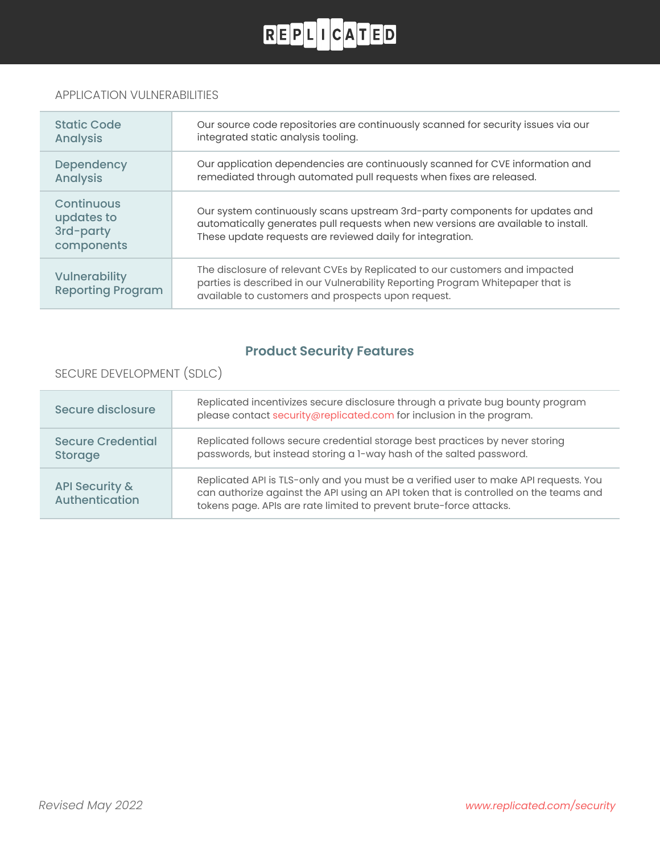### APPLICATION VULNERABILITIES

| <b>Static Code</b><br><b>Analysis</b>               | Our source code repositories are continuously scanned for security issues via our<br>integrated static analysis tooling.                                                                                                      |
|-----------------------------------------------------|-------------------------------------------------------------------------------------------------------------------------------------------------------------------------------------------------------------------------------|
| Dependency<br><b>Analysis</b>                       | Our application dependencies are continuously scanned for CVE information and<br>remediated through automated pull requests when fixes are released.                                                                          |
| Continuous<br>updates to<br>3rd-party<br>components | Our system continuously scans upstream 3rd-party components for updates and<br>automatically generates pull requests when new versions are available to install.<br>These update requests are reviewed daily for integration. |
| <b>Vulnerability</b><br><b>Reporting Program</b>    | The disclosure of relevant CVEs by Replicated to our customers and impacted<br>parties is described in our Vulnerability Reporting Program Whitepaper that is<br>available to customers and prospects upon request.           |

## **Product Security Features**

### SECURE DEVELOPMENT (SDLC)

| Secure disclosure                           | Replicated incentivizes secure disclosure through a private bug bounty program<br>please contact security@replicated.com for inclusion in the program.                                                                                             |
|---------------------------------------------|----------------------------------------------------------------------------------------------------------------------------------------------------------------------------------------------------------------------------------------------------|
| <b>Secure Credential</b><br>Storage         | Replicated follows secure credential storage best practices by never storing<br>passwords, but instead storing a 1-way hash of the salted password.                                                                                                |
| <b>API Security &amp;</b><br>Authentication | Replicated API is TLS-only and you must be a verified user to make API requests. You<br>can authorize against the API using an API token that is controlled on the teams and<br>tokens page. APIs are rate limited to prevent brute-force attacks. |